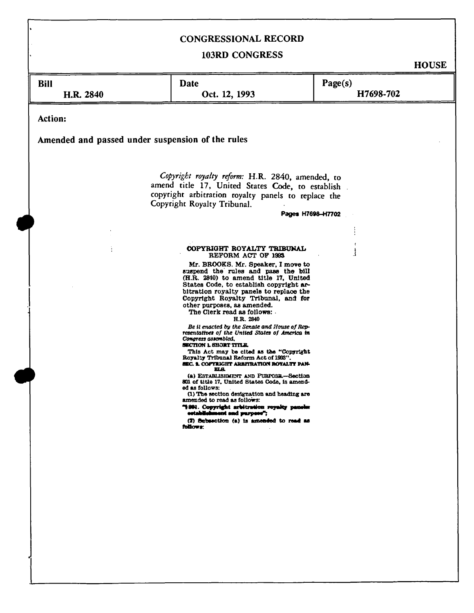# CONGRESSIONAL RECORD

## 103RD CONGRESS

**HOUSE** 

| <b>Bill</b><br>H.R. 2840                                                                                                                                                                                        | <b>Date</b><br>Oct. 12, 1993                                                                                                                                                                                                                                                                                                                                                                                                                                                                                                                                                                                                                                                                                                                                                                                                                                                                                                                                          | Page(s)<br>H7698-702 |
|-----------------------------------------------------------------------------------------------------------------------------------------------------------------------------------------------------------------|-----------------------------------------------------------------------------------------------------------------------------------------------------------------------------------------------------------------------------------------------------------------------------------------------------------------------------------------------------------------------------------------------------------------------------------------------------------------------------------------------------------------------------------------------------------------------------------------------------------------------------------------------------------------------------------------------------------------------------------------------------------------------------------------------------------------------------------------------------------------------------------------------------------------------------------------------------------------------|----------------------|
| Action:<br>Amended and passed under suspension of the rules                                                                                                                                                     |                                                                                                                                                                                                                                                                                                                                                                                                                                                                                                                                                                                                                                                                                                                                                                                                                                                                                                                                                                       |                      |
|                                                                                                                                                                                                                 |                                                                                                                                                                                                                                                                                                                                                                                                                                                                                                                                                                                                                                                                                                                                                                                                                                                                                                                                                                       |                      |
| Copyright royalty reform: H.R. 2840, amended, to<br>amend title 17, United States Code, to establish<br>copyright arbitration royalty panels to replace the<br>Copyright Royalty Tribunal.<br>Pages H7698-H7702 |                                                                                                                                                                                                                                                                                                                                                                                                                                                                                                                                                                                                                                                                                                                                                                                                                                                                                                                                                                       |                      |
|                                                                                                                                                                                                                 |                                                                                                                                                                                                                                                                                                                                                                                                                                                                                                                                                                                                                                                                                                                                                                                                                                                                                                                                                                       |                      |
|                                                                                                                                                                                                                 |                                                                                                                                                                                                                                                                                                                                                                                                                                                                                                                                                                                                                                                                                                                                                                                                                                                                                                                                                                       |                      |
|                                                                                                                                                                                                                 | COPYRIGHT ROYALTY TRIBUNAL<br>REFORM ACT OF 1993                                                                                                                                                                                                                                                                                                                                                                                                                                                                                                                                                                                                                                                                                                                                                                                                                                                                                                                      |                      |
|                                                                                                                                                                                                                 | Mr. BROOKS. Mr. Speaker, I move to<br>suspend the rules and pass the bill<br>(H.R. 2840) to amend title 17, United<br>States Code, to establish copyright ar-<br>bitration royalty panels to replace the<br>Copyright Royalty Tribunal, and for<br>other purposes, as amended.<br>The Clerk read as follows:<br>H.R. 2840<br>Be it enacted by the Senate and House of Rep-<br>resentatives of the United States of America in<br>Congress assembled,<br><b>SECTION L SHORT TITLE.</b><br>This Act may be cited as the "Copyright<br>Royalty Tribunal Reform Act of 1993".<br><b>SEC. 1. COPYRIGHT ARBITRATION ROYALTY PAN-</b><br>ᄧ<br>(a) ESTABLISHMENT AND PURPOSE-Section<br>801 of title 17, United States Code, is amend-<br>ed as follows:<br>(1) The section designation and heading are<br>amended to read as follows:<br>"1991. Copyright arbitration royalty panels:<br>ostabilehment and purpose";<br>(2) Subsection (a) is amended to read as<br>follows: |                      |
|                                                                                                                                                                                                                 |                                                                                                                                                                                                                                                                                                                                                                                                                                                                                                                                                                                                                                                                                                                                                                                                                                                                                                                                                                       |                      |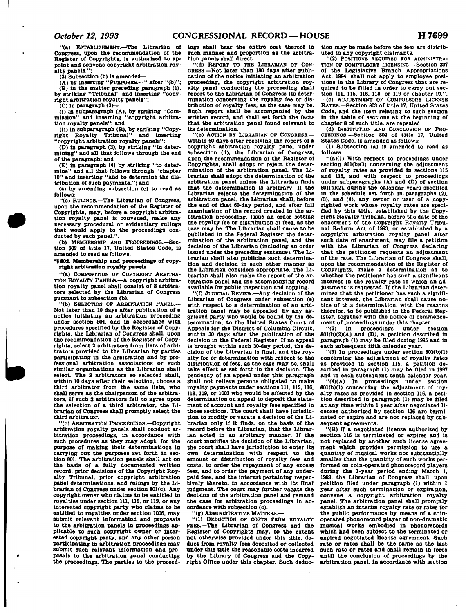**"(a) ESTABLISHMENT.—The Librarian of Congress, upon the recommendation of the Register of Copyrights, Is authorized to appoint and convene copyright arbitration roy**alty panels.'

**(3) Subsection (b) Is amended—** 

**(A) by inserting "PURPOSES.—" after "(b)"; (B) In the matter preceding paragraph (1), by striking "Tribunal" and Inserting "copyright arbitration royalty panels";** 

**(C) In paragraph (2)—** 

**(I) In subparagraph (A), by striking "Commission" and inserting "copyright arbitration royalty panels"; and** 

**(II) In subparagraph (B), by striking "Copy-right Royalty Tribunal" and inserting "copyright arbitration royalty panels";** 

**(D) In paragraph (3), by striking "In determining" and all that follows through the end of the paragraph; and** 

**(E) In paragraph (4) by striking "to determine" and all that follows through "chapter 10" and Inserting "and to determine the distribution of such payments."; and** 

**(4) by amending subsection (c) to read as follows:** 

**"(c) RULINOS.—The Librarian of Congress, upon the recommendation of the Register of Copyrights, may, before a copyright arbitration royalty panel Is convened, make any necessary procedural or evidentiary rulings that would apply to the proceedings con-ducted by such panel.".** 

**(b) MEMBERSHIP AND PROCEEDINGS.—Sec-tion 802 of title IT, United States Code, is amended to read as follows:** 

"<sup>1</sup>802. Membership and proceedings of copy**right arbitration royalty panels** 

**"(a) COMPOSITION OF COPYRIGHT ARBITRA-TION ROYALTY PANELS.—A copyright arbitration royalty panel shall consist of 3 arbitrators selected by the Librarian of Congress pursuant to subsection (b).** 

**"(b) SELECTION OF ARBITRATION PANEL.— Not later than 10 days after publication of a notice initiating an arbitration proceeding under section 804, and in accordance with procedures specified by the Register of Copyrights, the Librarian of Congress shall, upon the recommendation of the Register of Copy**rights, select 2 arbitrators from lists of arbi**trators provided to the Librarian by parties participating in the arbitration and by professional arbitration associations or such similar organizations as the Librarian shall select. The 2 arbitrators so selected shall, within 10 days after their selection, choose a third arbitrator from the same lists, who shall serve as the chairperson of the arbitrators. If such 2 arbitrators fall to agree upon the selection of a third arbitrator, the Librarian of Congress shall promptly select the third arbitrator.** 

**"(c) ARBITRATION PROCEEDINOS.—Copyright arbitration royalty panels shall conduct arbitration proceedings, in accordance with such procedures as they may adopt, for the purpose of making their determinations In carrying out the purposes set forth In section 801. The arbitration panels shall act on the basis of a fully documented written record, prior decisions of the Copyright Royalty Tribunal, prior copyright arbitration panel determinations, and rulings by the Librarian of Congress under section 801(c). Any copyright owner who claims to be entitled to royalties under section 111, 116, or 119, or any interested copyright party who claims to be entitled to royalties under section 1006, may submit relevant information and proposals to the arbitration panels In proceedings applicable to such copyright owner or interested copyright party, and any other person participating in arbitration proceedings may submit such relevant information and proposals to the arbitration panel conducting the proceedings. The parties to the proceed-**

**ings shall bear the entire cost thereof in such manner and proportion as the arbitration panels shall direct.** 

**"(d) REPORT TO THE LIBRARIAN OF CON-GRESS.—Not later than 180 days after publication of the notice Initiating an arbitration proceeding, the copyright arbitration royalty panel conducting the proceeding shall report to the Librarian of Congress Its determination concerning the royalty fee or dis-tribution of royalty fees, as the case may be. Such report shall be accompanied by the written record, and shall set forth the facts that the arbitration panel found relevant to Its determination.** 

**"(e) ACTION BY LIBRARIAN OP CONORESS.— Within 60 days after receiving the report of a copyright arbitration royalty panel under subsection (d), the Librarian of Congress, upon the recommendation of the Register of Copyrights, shall adopt or reject the determination of the arbitration panel. The Librarian shall adopt the determination of the arbitration panel unless the Librarian finds that the determination Is arbitrary. If the Librarian rejects the determination of the arbitration panel, the Librarian shall, before the end of that 60-day period, and after full examination of the record created in the arbitration proceeding, Issue an order setting the royalty fee or distribution of fees, as the case may be. The Librarian shall cause to be published In the Federal Register the determination of the arbitration panel, and the decision of the Librarian (Including an order Issued under the preceding sentence). The Librarian shall also publicize such determination and decision In such other manner as the Librarian considers appropriate. The Librarian shall also make the report of the arbitration panel and the accompanying record available for public inspection and copying.** 

**"(f) JUDICIAL REVIEW.—Any decision of the Librarian of Congress under subsection (e) with respect to a determination of an arbitration panel may be appealed, by any aggrieved party who would be bound by the determination, to the United States Court of Appeals for the District of Columbia Circuit, within 30 days after the publication of the decision In the Federal Register. If no appeal Is brought within such 30-day period, the decision of the Librarian is final, and the royalty fee or determination with respect to the distribution of fees, as the case may be, shall**  take effect as set forth in the decision. The **pendency of an appeal under this paragraph shall not relieve persons obligated to make royalty payments under sections 111, 115,116, 118, 119, or 1003 who would be affected by the determination on appeal to deposit the statement of account and royalty fees specified In those sections. The court shall have Jurisdiction to modify or vacate a decision of the Librarian only If It finds, on the basis of the record before the Librarian, that the Librarian acted in an arbitrary manner. If the court modifies the decision of the Librarian, the court modifies the decision of the Librarian,<br>the court shall have jurisdiction to enter its**<br>**own determination** with own determination with respect to the amount or distribution of royalty fees and costs, to order the repayment of any excess fees, and to order the payment of any underpaid fees, and the interest pertaining respectively thereto, in accordance with its final judgment. The court may further vacate the decision of the arbitration panel and remand the case for arbitration proceedings in accordance with subsection (c).

**"(G) ADMINISTRATIVE MATTERS.—** 

**"(1) DEDUCTION OF COSTS FROM ROYALTY FEES.—The Librarian of Congress and the Register of Copyrights may, to the extent not otherwise provided under this title, deduct from royalty fees deposited or collected under this title the reasonable costs incurred by the Library of Congress and the Copyright Office under this chapter. Such deduc-** **tion may be made before the fees are distributed to any copyright claimants.** 

**"(2) POSITIONS REQUIRED FOR ADMINISTRA-TION OP COMPULSORY LICENSING.—Section 307 of the Legislative Branch Appropriations Act, 1994, shall not apply to employee positions in the Library of Congress that are required to be filled In order to carry out sec-tion 111. 115. 116. 118, or 119 or chapter 10.". (c) ADJUSTMENT OF COMPULSORY LICENSE RATES.—Section 803 of title 17, United States Code, and the item relating to such section in the table of sections at the beginning of chapter 8 of such title, are repealed.** 

**(d) INSTITUTION AND CONCLUSION OF PRO-CEEDED^.—Section 804 of title 17, United States Code, Is amended as follows:** 

**(1) Subsection (a) Is amended to read as follows:** 

**"(a)(1) With respect to proceedings under section 801(b)(1) concerning the adjustment of royalty rates as provided in sections 115 and 116, and with respect to proceedings under subparagraphs (A) and (D) of section 801(b)(2), during the calendar years specified in the schedule set forth In. paragraphs (2), (3), and (4), any owner or user of a copyrighted work whose royalty rates are specified by this title, established by the Copyright Royalty Tribunal before the date of the enactment of the Copyright Royalty Tribunal Reform Act of 1993, or established by a copyright arbitration royalty panel after such date of enactment, may file a petition with the Librarian of Congress declaring that the petitioner requests an adjustment of the rate. The Librarian of Congress shall, upon the recommendation of the Register of Copyrights, make a determination as to whether the petitioner has such a significant Interest in the royalty rate in which an adjustment Is requested. If the Librarian determines that the petitioner has such a significant Interest, the Librarian shall cause notice of this determination, with the reasons therefor, to be published In the Federal Register, together with the notice of commencement of proceedings under this chapter.** 

**"(2) In proceedings under section 801(b)(2)(A) and (D), a petition described in paragraph (1) may be filed during 1995 and In each subsequent fifth calendar year.** 

**"(3) In proceedings under section 801(b)(1) concerning the adjustment of royalty rates as provided in section 115, a petition described In paragraph (1) may be filed in 1997 and In each subsequent tenth calendar year.** 

**"(4)(A) In proceedings under section 801(b)(1) concerning the adjustment of royalty rates as provided In section 116, a petition described In paragraph (1) may be filed at any time within 1 year after negotiated licenses authorized by section 116 are terminated or expire and are not replaced by subsequent agreements.** 

**"(B) If a negotiated license authorized by section 116 Is terminated or expires and Is not replaced by another such license agreement which provides permission to use a quantity of musical works not substantially smaller than the quantity of such works performed on coin-operated phonorecord players during the 1-year period ending March 1, 1969, the Librarian of Congress shall, upon petition filed under paragraph (1) within 1 year after such termination or expiration, oonvene a copyright arbitration royalty panel. The arbitration panel shall promptly establish an Interim royalty rate or rates for the public performance by means of a coinoperated phonorecord player of non-dramatic musical works embodied in phonorecords**  musical works embodied in phonorecords which had been subject to the terminated or expired negotiated license agreement. Such rate or rates shall be the same as the last such rate or rates and shall remain in force **arbitration panel, in accordance with section**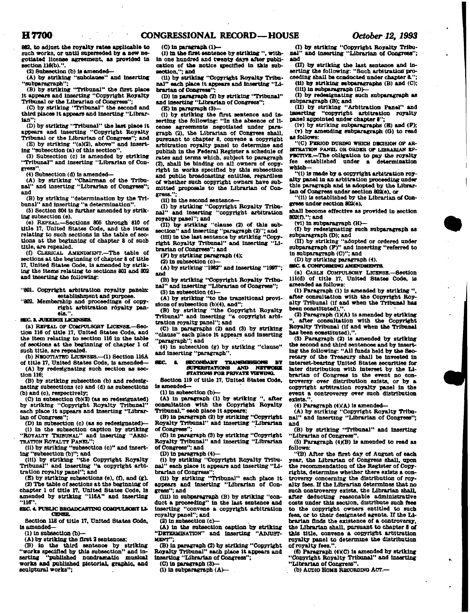**H7700 CONGRESSIONAL RECORD—HOUSE** *October 12, 1993* 

**882. to adjust the royalty rates applicable to such works, or until superseded by a new negotiated license agreement, as provided In section 116(b).".** 

**(2) Subsection (b) Is amended—** 

**(A) by striking "subclause" and Inserting "subparagraph";** 

**(B) by striking "Tribunal" the first place it appears and Inserting "Copyright Royalty** 

**Tribunal or the Librarian of Congress"; (C) by striking "Tribunal" the second and third places It appears and Inserting "Librarian";** 

**(D) by striking "Tribunal" the last place It appears and Inserting "Copyright Royalty Tribunal or the Librarian of Congress"; and** 

**(E) by striking "(a)(8), above" and inserting "subsection (a) of this section".** 

**(3) Subsection (c) is amended by striking "Tribunal" and inserting "Librarian of Congress\*\*.** 

**(4) Subsection (d) Is amended— (A) by striking "Chairman of the Tribu-nal" and Inserting "Librarian of Congress"; and** 

**(B) by striking "determination by the Tribunal" and Inserting "a determination".** 

**(5) Section 804 is farther amended by striking subsection (e).** 

**(e) REPEAL.—Sections SOS through 810 of title 17, United States Code, and the items relating to such sections In the table of sections at the beginning of chapter 8 of such title, are repealed.** 

**(0 CLERICAL AMENDMENT.—The table Of sections at the beginning of chapter 8 of title 17, United States Code, Is amended by striking the Items relating to sections 801 and 803 and Inserting the following:** 

**"801. Copyright arbitration royalty panels: establishment and purpose.** 

**"802. Membership and proceedings of copyright arbitration royalty panels.".** 

**SEC S. JUKEBOXLICENSES.** 

**(a) REPEAL or COMPULSORY LICENSE.—Section 116 of title 17, United States Coda, and the item relating to section 116 in the table of sections at the beginning of chapter 1 of such title, are repealed.** 

**(b) NEGOTIATED UCKNSES.—(1) Section 116A of title 17, United States Code, Is amended—** 

**(A) by redesignating such section as section 116;** 

**(B) by striking subsection (b) and redesignating subsections (c) and (d) as subsections (b) and (c), respectively;** 

**(C) In subsection (b)(2) (as so redesignated) by striking "Copyright Royalty Tribunal" each place It appears and Inserting "Librarian of Congress";** 

**(D) in subsection (c) (as so redesignated)— (1) in the subsection caption by striking "ROYALTY TRIBUNAL" and inserting "ARBI-TRATION ROYALTY PANEL";** 

**(11) by striking "subsection (c)" and Insert-**

**ing "subsection (b)"; and (ill) by striking "the Copyright Royalty Tribunal" and inserting "a copyright arbitration royalty panel"; and** 

(E) by striking subsections (e), (f), and (g). **(2) The table of sections at the beginning of chapter 1 of title 17. United States Code, is amended by striking "116A" and Inserting "116".** 

#### **8BC 4. PUBLIC BROADCASTING COMPULSORY LI-CENSE.**

**Section 118 of title 17. United 8tates Code, la amended—** 

**(1) In subsection (b>—** 

**(A) by striking the first 2 sentences;** 

**(B) in the third sentenoe by striking "works specified by this subsection" and in-serting "published nondramatlo musical works and published pictorial, graphic, and sculptural works";** 

### **(C) In paragraph (1>—**

**(I) in the first sentenoe by striking ", within one hundred and twenty days after publication of the notice specified in this subaeotton,"; and** 

**(II) by striking "Copyright Royalty Tribunal" each place It appears and Inserting "Librarian of Congress";** 

**(D) in paragraph (2) by striking "Tribunal" and inserting "Librarian of Congress";** 

**(E) in paragraph (3)—** 

**(1) by striking the first sentence and inserting the following: "In the absence of license agreements negotiated under paragraph (2), the Librarian of Congress shall, pursuant to chapter 8, convene a copyright arbitration royalty panel to determine and publish In the Federal Register a schedule of**  rates and terms which, subject to paragraph **(2), shall be binding on all owners of copyright in works specified by this subsection and public broadcasting entitles, regardless of whether such copyright owners have submitted proposals to the Librarian of Congress.";** 

**(11) in the second sentence-**

(I) by striking "Copyright Royalty Tribu-nal" and inserting "copyright arbitration **nal" and Inserting "copyright arbitration royalty panel"; and** 

**(II) by striking "clause (2) of this sobsection" and inserting "paragraph (2)"; and (ill) in the last sentence by striking "Copy-**

**right Royalty Tribunal" and inserting "Librarian of Congress"; and** 

**(P) by striking paragraph (4);** 

**(2) in subsection (c)—** 

**(A) by striking "1982" and inserting "1997";** 

**and (B) by striking "Copyright Royalty Tribunal" and Inserting "Librarian of Congress";** 

**(3) in subsection (d>— (A) by striking "to the transitional provi-**

**sions of subsection (b)(4), and";** 

**(B) by striking "the Copyright Royalty Tribunal" and Inserting "a copyright arbitration royalty panel"; and** 

**(C) in paragraphs (2) and (3) by striking "olause" each place it appears and Inserting "paragraph"; and** 

**(4) In subsection (g) by striking "clause" and inserting "paragraph".** 

### **SEC. I. SECONDARY TBANBMB8IONB BT**  *BUPERSTATIONS AND METWORK***<br>8TATIONS FOR PRIVATE VIEWING.**

**Section 119 of title 17, United States Code, is amended—** 

**(1) In subsection (b)—** 

**(A) In paragraph (1) by striking ", after consultation with the Copyright Royalty Tribunal," each place it appears;** 

**(B) In paragraph (2) by striking "Copyright Royalty Tribunal" and inserting "Librarian of Congress\*;** 

**(C) in paragraph (3) by striking "Copyright Royalty Tribunal" and Inserting "Librarian of Congress"; and** 

**CD) in paragraph (4)—** 

**(1) by striking "Copyright Royalty Tribunal" each place It appears and Inserting "Li-**

**brarian of Congress"; (II) by striking "Tribunal" each place It appears and inserting "Librarian of Congress"; and** 

**(III) in subparagraph (B) by striking "conduct a proceeding" In the last sentence and Inserting "convene a copyright arbitration royalty panel"; and** 

**(2) In subsection (c)—** 

**(A) in the subsection caption by striking "DETERMINATION" and inserting "ADJUST-MENT";** 

**(B) in paragraph (3) by striking "Copyright Royalty Tribunal" each place it appears and Inserting "Librarian of Congress";** 

**(O in paragraph (3)—** 

**(1) In subparagraph (A)—** 

**(I) by striking "Copyright Royalty Tribunal" and inserting "Librarian of Congress"; and** 

**(IT) by striking the last sentence and inserting the following: "Such arbitration" pro-ceeding shall be conducted under chapter 8.";** 

**(II) by striking subparagraphs (B) and (C); (ill) in subparagraph (D)—** 

**(I) by redesignating such subparagraph as subparagraph (B); and** 

**(U) by striking "Arbitration Panel" and inserting "copyright arbitration royalty panel appointed under chapter 8";** 

**(lv) by striking subparagraphs (B) and (P); (v) by amending subparagraph (O) to read as follows:** 

"(C) PERIOD DURING WHICH DECISION OF AR-**BITRATION PANEL OR ORDER OP LIBRARIAN EF-FECTIVE.—The obligation to pay the royalty fee established under a determination which—** 

**"(1) is made by a copyright arbitration royalty panel in an arbitration proceeding under this paragraph and is adopted by the Librarian of Congress under section 802(e), or** 

**"(11) Is established by the Librarian of Congress under section 802(e),** 

**shall become effective as provided in section 802(f).": and** 

**(vi) in subparagraph (H)—** 

**(I) by redesignating such subparagraph as subparagraph (D); and** 

**(II) by striking "adopted or ordered under subparagraph (P)" and Inserting "referred to in subparagraph (C)"; and** 

**(D) by striking paragraph (4).** 

**SBC. & CONFORMING AMENDMENTS.** 

**(a) CABLE COMPULSORY LICENSE.—Section 111(d) of title 17, United States Code, is amended as follows:** 

**(1) Paragraph (1) is amended by striking ", after consultation with the Copyright Royalty Tribunal (if and when the Tribunal has been constituted),".** 

**(2) Paragraph (IXA) is amended by striking**  after consultation with the Copyright **Royalty Tribunal (if and when the Tribunal has been eoastttuted),".** 

**(3) Paragraph (2) is amended by striking the second and third sentenoee and by inserting the following: "All funds held by the Secretary of the Treasury shall be Invested In interest-bearing United States securities for**  later distribution with interest by the Li**brarian of Congress in the event no controversy over distribution exists, or by a copyright arbitration royalty panel in the event a controversy over such distribution exists.".** 

**(4) Paragraph (4XA) is amended—** 

**(A) by striking "Copyright Royalty Tribunal" and Inserting "Librarian of Congress"; and** 

**(B) by striking "Tribunal" and Inserting "Librarian of Congress".** 

**(5) Paragraph (4KB) la amended to read as follows:** 

**"'(B) After the first day of August of each year, the Librarian of Congress shall, upon the recommendation of the Register of Copyrights, determine whether there exists a controversy concerning the distribution of royalty fees. If the Librarian determines that no such controversy exists, the Librarian shall, after deducting reasonable administrative costs under this section, distribute such fees to the copyright owners entitled to such fees, or to their designated agents. If the Librarian finds the existence of a controversy, the Librarian shall, pursuant to chapter 8 of this title, convene a copyright arbitration royalty panel to determine the distribution of royalty fees.".** 

**(6) Paragraph (4XC) is amended by striking "Copyright Royalty Tribunal" and Inserting "Librarian of Congress".** 

**(b) AUDIO HOME RECORDING ACT.—**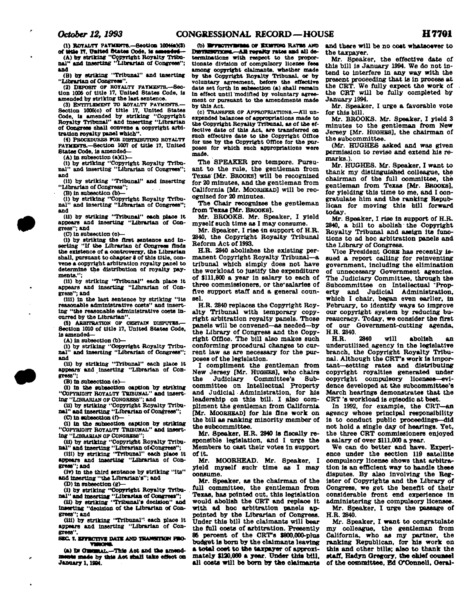**(1) ROTALTT PAYMENTS.-SeOtlOB 100M«XS) oT tKle IT. United States Code, la aaasadad** 

**(A) by striking "Copyright Royalty Tribu-nal" and Inserting "Librarian of Congress"; and (B) by striking "Tribunal" and inserting** 

**"Librarian of Congress".** 

(2) DEPOSIT OF ROTALTT PAYMENTS.--Section 1006 of title 17. United States Code, is **amended by striking the last sentence.** 

**(3) ENTITLEMENT TO ROYALTY PAYMENTS.— Section 1006(o) of title 17. United States Code, la amended by striking "Copyright Royalty Tribunal" and Inserting "Librarian of Congress shall convene a oopyrlgbt arbitration royalty panel which".** 

**(4) PROCEDURES FOB DI8TRIBVTWO ROTALTT PATMENTS.—Section 1007 of title 17, United States Code, Is amended—** 

**(A) In subsection (aXl)—** 

**(I) by striking "Copyright Royalty Tribunal" and Inserting "Librarian of Congress"; and** 

**(II) by striking "Tribunal" and Inserting "Librarian of Congress";** 

**(B) In subseotlon (b)— (1) by striking "Copyright Royalty Tribunal" and Inserting "Librarian of Congress"; and** 

**(U) by striking "Tribunal" each place It appears and Inserting "Librarian of Congress"; and** 

**(O In subseotlon (o>—** 

**(1) by striking the first sentence and In-serting "If the Librarian bf Congress finds the existence of a controversy, the Librarian shall, pursuant to chapter 8 of this title, convene a copyright arbitration royalty panel to determine the distribution of royalty payments.";** 

**(ii) by striking "Tribunal" each plaoe it appears and inserting "Librarian of Congress"; and** 

**(ill) In the last sentence by striking "its reasonable administrative costs" and Inserting "the reasonable administrative costs Incurred by the Librarian".** 

**(5) ARBITRATION OF CERTAIN DISPUTES. Section 1010 of title 17, United States Code. Is amended—** 

**(A) In subsection (b)—** 

**(I) by striking "Copyright Royalty Tribunal" and Inserting "Librarian of Congress"; and** 

**(II) by striking "Tribunal" each plaoe it appears' and Inserting "Librarian of Congress";** 

**(B) in subsection (e)—** 

**(1) In the subsection caption by striking "COPYRIGHT ROYALTY TRIBUNAL" and inserting "LIBRARIAN OF C0NORB8S"; and** 

**(U) by striking "Copyright Royalty Trtbu-nal" and Inserting "Librarian of Congress"; (O In subsection (f>—** 

**(I) In ti e subsection caption by striking "COPYRIGHT ROYALTY TRIBUNAL" and inserting "LIBRARIAN or CONGRESS";** 

**(II) by striking "Copyright Royalty Tribu-**

**nal" and inserting "Librarian of Congress"; (III) by striking "Tribunal" each plaoe It**  appears and inserting "Librarian of Con-

**gress"; and (IT) In the third sentenoe by striking 'Its" and inserting "the Librarian's"; and** 

**(D) In subsection (g)—** 

**(I) by striking "Copyright Royalty Tribunal" and Inserting "Librarian of Congress"; (II) by striking "Tribunal's decision" and**  inserting "decision of the Librarian of Con**gress"; and** 

**(III) by striking "Tribunal" each place It appears and Inserting "Librarian of Congress".** 

SEC. 7. KFFECTIVE DATE AND TRANSITION PRO-<br>**VARONE.** 

**(a) IN OEMRAL.—This Aot and the amendments made by this Act shall take effect on January 1.1804.** 

(b) **ESTECTIVESIAS** OF **EXISTING** RATES AND DseTRIBUTJQMS .- All royalty rates and all de**terminations with respect to the proportionate division of compulsory license fees among oopyrtght claimants, whether made by the Copyright Royalty Tribunal, or by voluntary agreement, before the effective date set forth In subsection (a) shall remain In effect until modified by voluntary agreement or pursuant to the amendments made by this Act.** 

**(o) TRANSFER or APPROPRIATIONS.—All unexpended balances of appropriations made to the Copyright Royalty Tribunal, as of the effective date of this Act, are transferred on suoh effective date to the Copyright Office for use by the Copyright Office for the purposes for which such appropriations were made.** 

**The SPEAKER pro tempore. Pursuant to the rule, the gentleman from Texas [Mr. BROOKS] will be recognized for 20 minutes, and the gentleman from California [Mr. MOORHEAD] will be recognized for 20 minutes.** 

**The Chair recognises the gentleman from Texas [Mr. BROOKS].** 

**Mr. BROOKS. Mr. Speaker, I yield myself such time as I may consume.** 

**Mr. Speaker, I rise In support of H.R. 2840, the Copyright Royalty Tribunal Reform Act of 1993.** 

**H.R. 2840 abolishes the existing permanent Copyright Royalty Tribunal—a tribunal which simply does not have the workload to justify the expenditure of \$111,800 a year in salary to each of three commissioners, or the\* salaries of five support staff and a general counsel.** 

**H.R. 2840 replaces the Copyright Royalty Tribunal with temporary copyright arbitration royalty panels. Those panels will be convened—as needed—by the Library of Congress and the Copyright Office. The bill also makes such conforming procedural changes to current law as are necessary for the purposes of the legislation.** 

**I compliment the gentleman from New Jersey [Mr. HUGHES], who chairs**  Committee's Sub**committee on Intellectual Property and Judicial Administration, for his leadership on this bill. I also compliment the gentleman from California [Mr. MOORHBAD] for his fine work on the bill as ranking minority member of the subcommittee.** 

**Mr. Speaker. H.R. 2840 is fiscally responsible legislation, and I urge the Members to cast their votes In support of It.** 

**Mr. MOORHEAD. Mr. Speaker, I yield myself such- time as I may oonsume.** 

**Mr. Speaker, as the chairman of the full committee, the gentleman from Texas, has pointed out, this legislation would abolish the CRT and replace it with ad hoc arbitration panels appointed by the Librarian of Congress. Under this bill the claimants will bear the full costs of arbitration. Presently 86 percent of the CRTs S800,000-plus budget Is born by the claimants leaving a total cost to the taxpayer of approximately \$120,000 a year. Under this bill, all costs will be born by the claimants** 

**and there will be no cost whatsoever to the taxpayer.** 

**Mr. Speaker, the effective date of this bill Is January 1994. We do not Intend to Interfere In any way with the present proceeding that Is In process at the CRT. We fully expect the work of the CRT will be fully completed by January 1994.** 

**Mr. Speaker, I urge a favorable vote for this bill.** 

**Mr. BROOKS. Mr. Speaker, I yield 3 minutes to the gentleman from New Jersey [Mr. HUOHBS], the chairman of the subcommittee.** 

**(Mr. HUGHES asked and was given permission to revise and extend his remarks.).** 

Mr. HUGHES. Mr. Speaker, I want to **thank my distinguished colleague, the chairman of the full committee, the gentleman from Texas [Mr. BROOKS], for yielding this time to me, and I congratulate him and the ranking Republican for moving this bill forward today.** 

**Mr. Speaker, I rise In support of H.R. 2840. a bill to abolish the Copyright**  Royalty Tribunal and assign its func**tions to ad hoc arbitration panels and the Library of Congress.** 

**Vice President OORK has recently Issued a report calling for reinventing government, including the elimination of unnecessary Government agencies. The Judiciary Committee, through the**  Subcommittee on Intellectual Prop**erty and Judicial Administration, which I chair, began even earlier, in February, to Identify ways to Improve our copyright system by reducing bureaucracy. Today, we consider the first of our Government-cutting agenda, H.R. 2840.** 

**H.R. 2840 will abolish an underutilized, agency in the legislative branch, the Copyright Royalty Tribunal. Although the CRTs work Is Important—setting rates and distributing copyright royalties generated under copyright compulsory licenses—evidence developed at the subcommittee's March hearings demonstrates that the CRT's workload is episodic at best.** 

**In 1992, for example, the CRT—an agency whose principal responsibility is to conduct public proceedings—did not hold a single day of hearings. Tet, the three CRT commissioners enjoyed a salary of over \$111,000 a year.** 

**We can do better and have. Experience under the section 110 satellite compulsory license shows that arbitration is an efficient way to handle these disputes. By also Involving the Register of Copyrights and the Library of Congress, we get the benefit of their considerable front end experience In administering the compulsory licenses.** 

**Mr. Speaker, I urge the passage of H.R. 2840.** 

**Mr. Speaker. I want to congratulate my colleague, the gentleman from California, who as my partner, the ranking Republican, for his work on this and other bills; also to thank the staff, Hadyn Gregory, the chief oouasel**  of the committee, Ed O'Connell, Geral